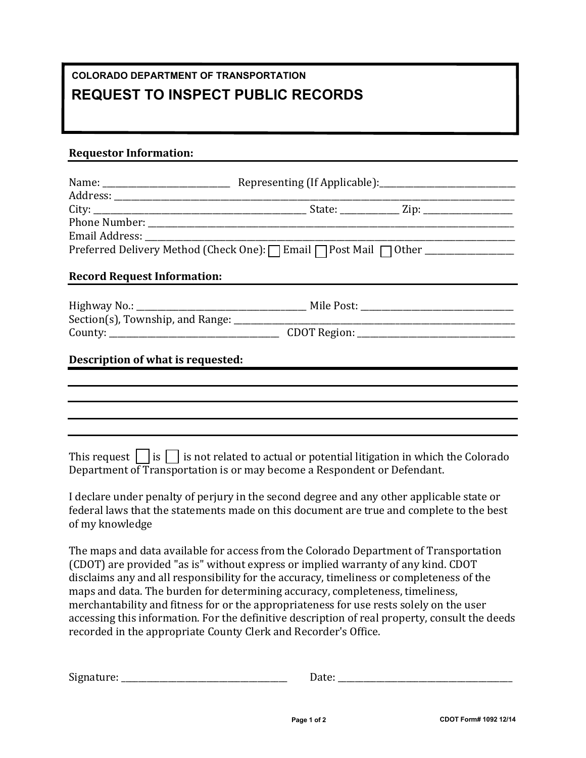## **COLORADO DEPARTMENT OF TRANSPORTATION REQUEST TO INSPECT PUBLIC RECORDS**

## **Requestor Information:**

| Preferred Delivery Method (Check One): [ Email   Post Mail   Other ______________ |                                                                                                                                                                                                            |  |  |  |
|-----------------------------------------------------------------------------------|------------------------------------------------------------------------------------------------------------------------------------------------------------------------------------------------------------|--|--|--|
| <b>Record Request Information:</b>                                                |                                                                                                                                                                                                            |  |  |  |
|                                                                                   |                                                                                                                                                                                                            |  |  |  |
|                                                                                   |                                                                                                                                                                                                            |  |  |  |
|                                                                                   |                                                                                                                                                                                                            |  |  |  |
|                                                                                   |                                                                                                                                                                                                            |  |  |  |
| Description of what is requested:                                                 |                                                                                                                                                                                                            |  |  |  |
|                                                                                   |                                                                                                                                                                                                            |  |  |  |
|                                                                                   |                                                                                                                                                                                                            |  |  |  |
|                                                                                   |                                                                                                                                                                                                            |  |  |  |
|                                                                                   |                                                                                                                                                                                                            |  |  |  |
|                                                                                   | This request $\vert \cdot \vert$ is $\vert \cdot \vert$ is not related to actual or potential litigation in which the Colorado<br>Department of Transportation is or may become a Respondent or Defendant. |  |  |  |

I declare under penalty of perjury in the second degree and any other applicable state or federal laws that the statements made on this document are true and complete to the best of my knowledge

The maps and data available for access from the Colorado Department of Transportation (CDOT) are provided "as is" without express or implied warranty of any kind. CDOT disclaims any and all responsibility for the accuracy, timeliness or completeness of the maps and data. The burden for determining accuracy, completeness, timeliness, merchantability and fitness for or the appropriateness for use rests solely on the user accessing this information. For the definitive description of real property, consult the deeds recorded in the appropriate County Clerk and Recorder's Office.

| Signature:<br>Date: |  |
|---------------------|--|
|---------------------|--|